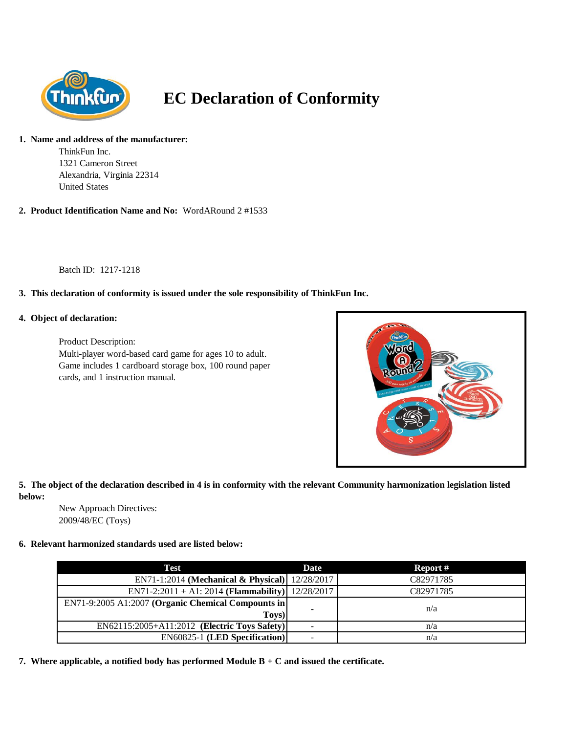

# **EC Declaration of Conformity**

# **1. Name and address of the manufacturer:**

ThinkFun Inc. 1321 Cameron Street Alexandria, Virginia 22314 United States

### **2. Product Identification Name and No:** WordARound 2 #1533

Batch ID: 1217-1218

# **3. This declaration of conformity is issued under the sole responsibility of ThinkFun Inc.**

### **4. Object of declaration:**

Product Description: Multi-player word-based card game for ages 10 to adult. Game includes 1 cardboard storage box, 100 round paper cards, and 1 instruction manual.



## **5. The object of the declaration described in 4 is in conformity with the relevant Community harmonization legislation listed below:**

New Approach Directives: 2009/48/EC (Toys)

#### **6. Relevant harmonized standards used are listed below:**

| Test                                                        | Date                     | Report #  |
|-------------------------------------------------------------|--------------------------|-----------|
| EN71-1:2014 (Mechanical & Physical) 12/28/2017              |                          | C82971785 |
| EN71-2:2011 + A1: 2014 (Flammability)   12/28/2017          |                          | C82971785 |
| EN71-9:2005 A1:2007 (Organic Chemical Compounts in<br>Toys) | $\overline{\phantom{a}}$ | n/a       |
| EN62115:2005+A11:2012 (Electric Toys Safety)                |                          | n/a       |
| <b>EN60825-1 (LED Specification)</b>                        | $\overline{\phantom{a}}$ | n/a       |

**7. Where applicable, a notified body has performed Module B + C and issued the certificate.**